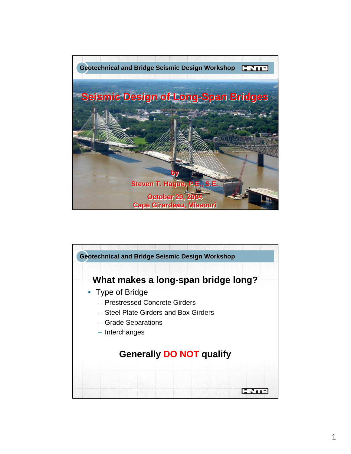

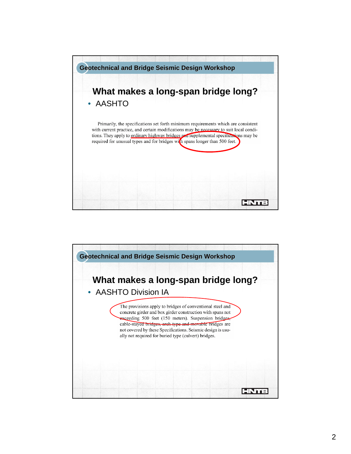

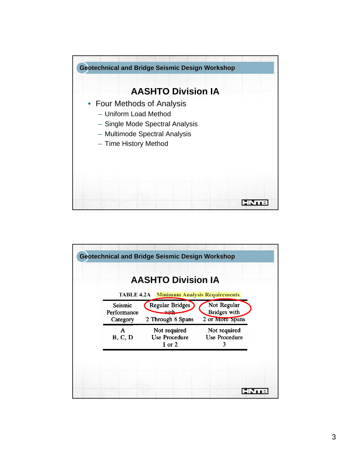

| <b>TABLE 4.2A</b> Minimum Analysis Requirements<br>Regular Bridges<br>Not Regular<br>Seismic<br><b>Bridges</b> with<br>with<br>2 Through 6 Spans<br>2 or More Spans<br>Category<br>Not required<br>Not required<br>A<br>Use Procedure<br>Use Procedure<br>B, C, D<br>$1$ or $2$<br>3 |             | <b>AASHTO Division IA</b> |  |
|--------------------------------------------------------------------------------------------------------------------------------------------------------------------------------------------------------------------------------------------------------------------------------------|-------------|---------------------------|--|
|                                                                                                                                                                                                                                                                                      |             |                           |  |
|                                                                                                                                                                                                                                                                                      | Performance |                           |  |
|                                                                                                                                                                                                                                                                                      |             |                           |  |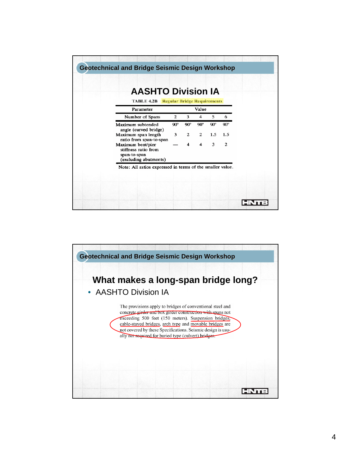| <b>TABLE 4.2B</b> Regular Bridge Requirements                                      | <b>AASHTO Division IA</b> |                         |                         |            |            |
|------------------------------------------------------------------------------------|---------------------------|-------------------------|-------------------------|------------|------------|
| Parameter                                                                          |                           |                         | Value                   |            |            |
| Number of Spans                                                                    | 2                         | 3                       | 4                       | 5          | 6          |
| Maximum subtended<br>angle (curved bridge)                                         | $90^{\circ}$              | $90^\circ$              | $90^{\circ}$            | $90^\circ$ | $90^\circ$ |
| Maximum span length<br>ratio from span-to-span                                     | $3^{\circ}$               | $\mathbf{2}$            | $2^{\circ}$             | 1.5        | 1.5        |
| Maximum bent/pier<br>stiffness ratio from<br>span-to-span<br>(excluding abutments) |                           | $\overline{\mathbf{4}}$ | $\overline{\mathbf{4}}$ | 3          | 2          |

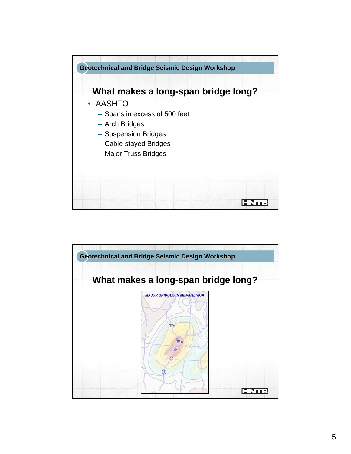

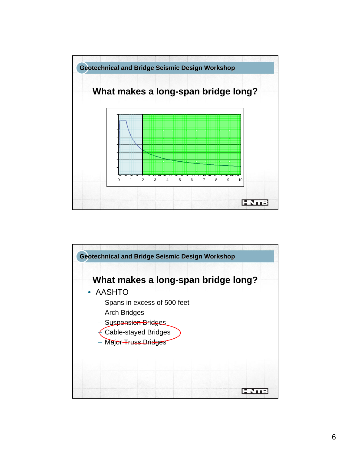

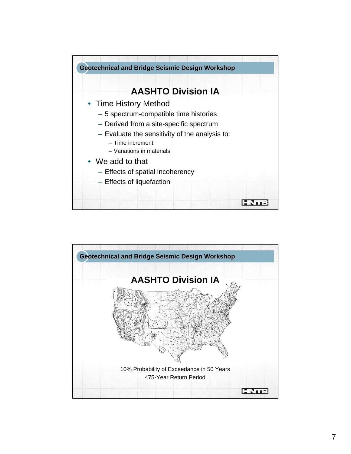

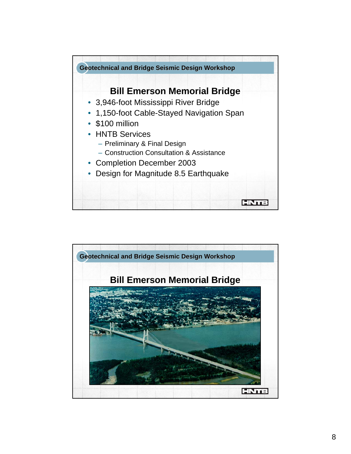

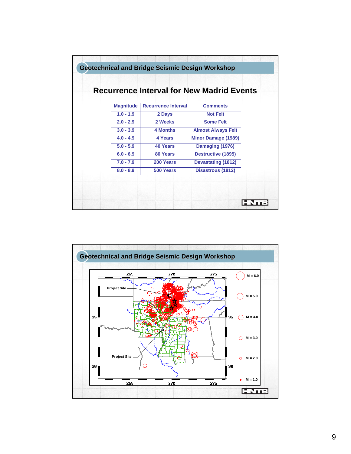|                  |                            | <b>Recurrence Interval for New Madrid Events</b> |
|------------------|----------------------------|--------------------------------------------------|
| <b>Magnitude</b> | <b>Recurrence Interval</b> | <b>Comments</b>                                  |
| $1.0 - 1.9$      | 2 Days                     | <b>Not Felt</b>                                  |
| $2.0 - 2.9$      | 2 Weeks                    | <b>Some Felt</b>                                 |
| $3.0 - 3.9$      | <b>4 Months</b>            | <b>Almost Always Felt</b>                        |
| $4.0 - 4.9$      | 4 Years                    | <b>Minor Damage (1989)</b>                       |
| $5.0 - 5.9$      | 40 Years                   | Damaging (1976)                                  |
| $6.0 - 6.9$      | 80 Years                   | <b>Destructive (1895)</b>                        |
| $7.0 - 7.9$      | 200 Years                  | <b>Devastating (1812)</b>                        |
| $8.0 - 8.9$      | 500 Years                  | <b>Disastrous (1812)</b>                         |

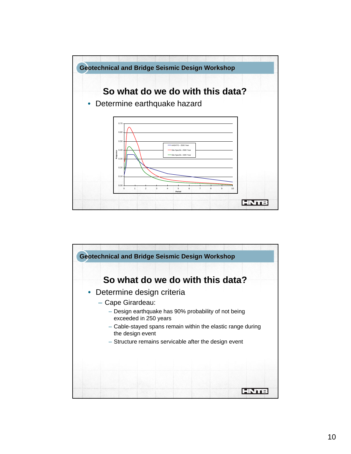

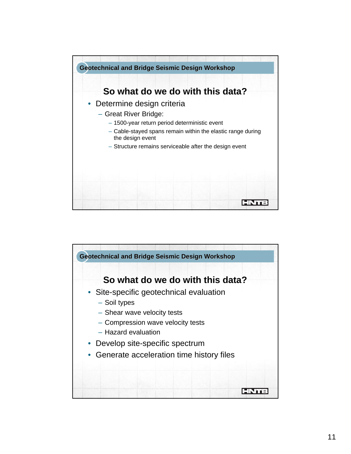

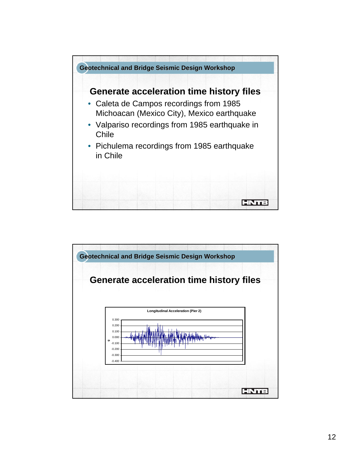

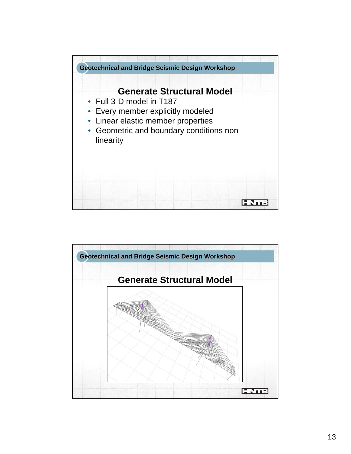

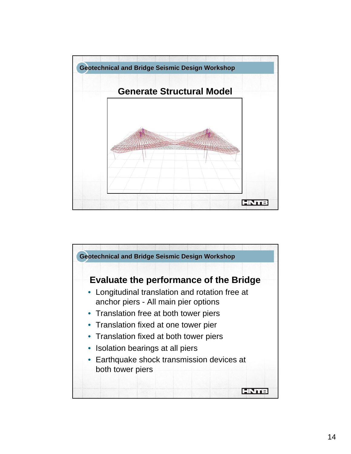

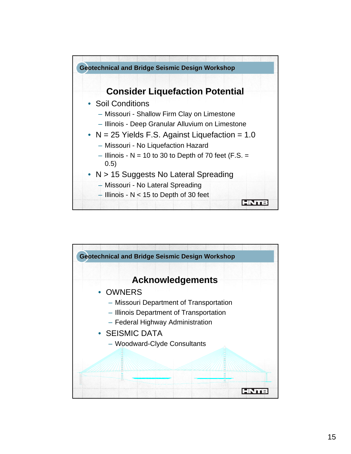